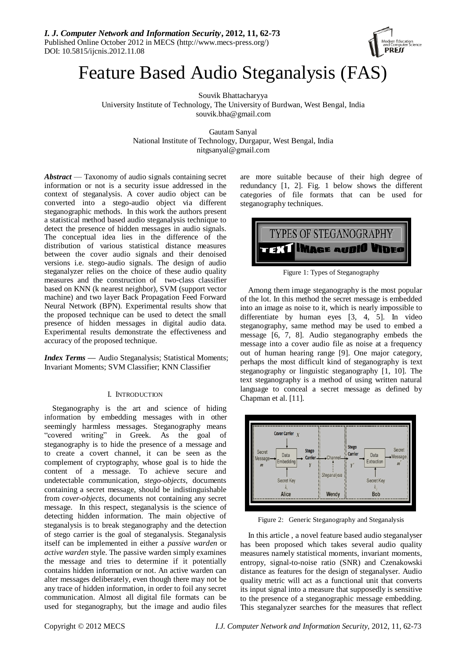

# Feature Based Audio Steganalysis (FAS)

Souvik Bhattacharyya

University Institute of Technology, The University of Burdwan, West Bengal, India souvik.bha@gmail.com

> Gautam Sanyal National Institute of Technology, Durgapur, West Bengal, India nitgsanyal@gmail.com

*Abstract* — Taxonomy of audio signals containing secret information or not is a security issue addressed in the context of steganalysis. A cover audio object can be converted into a stego-audio object via different steganographic methods. In this work the authors present a statistical method based audio steganalysis technique to detect the presence of hidden messages in audio signals. The conceptual idea lies in the difference of the distribution of various statistical distance measures between the cover audio signals and their denoised versions i.e. stego-audio signals. The design of audio steganalyzer relies on the choice of these audio quality measures and the construction of two-class classifier based on KNN (k nearest neighbor), SVM (support vector machine) and two layer Back Propagation Feed Forward Neural Network (BPN). Experimental results show that the proposed technique can be used to detect the small presence of hidden messages in digital audio data. Experimental results demonstrate the effectiveness and accuracy of the proposed technique.

*Index Terms* **—** Audio Steganalysis; Statistical Moments; Invariant Moments; SVM Classifier; KNN Classifier

# I. INTRODUCTION

Steganography is the art and science of hiding information by embedding messages with in other seemingly harmless messages. Steganography means "covered writing" in Greek. As the goal of steganography is to hide the presence of a message and to create a covert channel, it can be seen as the complement of cryptography, whose goal is to hide the content of a message. To achieve secure and undetectable communication, *stego-objects*, documents containing a secret message, should be indistinguishable from *cover-objects,* documents not containing any secret message. In this respect, steganalysis is the science of detecting hidden information. The main objective of steganalysis is to break steganography and the detection of stego carrier is the goal of steganalysis. Steganalysis itself can be implemented in either a *passive warden* or *active warden* style. The passive warden simply examines the message and tries to determine if it potentially contains hidden information or not. An active warden can alter messages deliberately, even though there may not be any trace of hidden information, in order to foil any secret communication. Almost all digital file formats can be used for steganography, but the image and audio files

are more suitable because of their high degree of redundancy [1, 2]. Fig. 1 below shows the different categories of file formats that can be used for steganography techniques.



Figure 1: Types of Steganography

Among them image steganography is the most popular of the lot. In this method the secret message is embedded into an image as noise to it, which is nearly impossible to differentiate by human eyes [3, 4, 5]. In video steganography, same method may be used to embed a message [6, 7, 8]. Audio steganography embeds the message into a cover audio file as noise at a frequency out of human hearing range [9]. One major category, perhaps the most difficult kind of steganography is text steganography or linguistic steganography [1, 10]. The text steganography is a method of using written natural language to conceal a secret message as defined by Chapman et al. [11].



Figure 2: Generic Steganography and Steganalysis

In this article , a novel feature based audio steganalyser has been proposed which takes several audio quality measures namely statistical moments, invariant moments, entropy, signal-to-noise ratio (SNR) and Czenakowski distance as features for the design of steganalyser. Audio quality metric will act as a functional unit that converts its input signal into a measure that supposedly is sensitive to the presence of a steganographic message embedding. This steganalyzer searches for the measures that reflect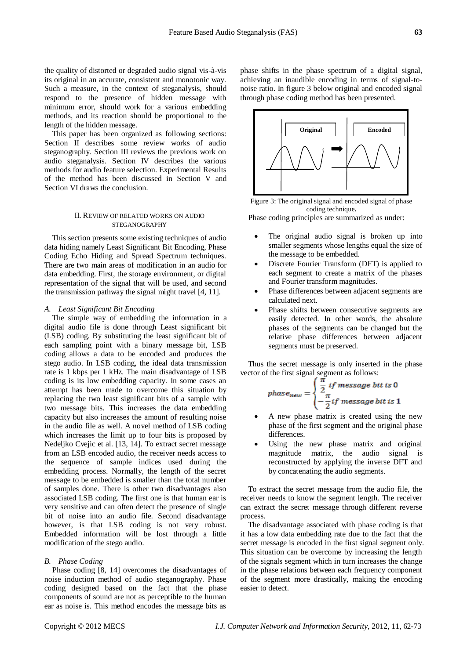the quality of distorted or degraded audio signal vis-à-vis its original in an accurate, consistent and monotonic way. Such a measure, in the context of steganalysis, should respond to the presence of hidden message with minimum error, should work for a various embedding methods, and its reaction should be proportional to the length of the hidden message.

This paper has been organized as following sections: Section II describes some review works of audio steganography. Section III reviews the previous work on audio steganalysis. Section IV describes the various methods for audio feature selection. Experimental Results of the method has been discussed in Section V and Section VI draws the conclusion.

## II. REVIEW OF RELATED WORKS ON AUDIO STEGANOGRAPHY

This section presents some existing techniques of audio data hiding namely Least Significant Bit Encoding, Phase Coding Echo Hiding and Spread Spectrum techniques. There are two main areas of modification in an audio for data embedding. First, the storage environment, or digital representation of the signal that will be used, and second the transmission pathway the signal might travel [4, 11].

#### *A. Least Significant Bit Encoding*

The simple way of embedding the information in a digital audio file is done through Least significant bit (LSB) coding. By substituting the least significant bit of each sampling point with a binary message bit, LSB coding allows a data to be encoded and produces the stego audio. In LSB coding, the ideal data transmission rate is 1 kbps per 1 kHz. The main disadvantage of LSB coding is its low embedding capacity. In some cases an attempt has been made to overcome this situation by replacing the two least significant bits of a sample with two message bits. This increases the data embedding capacity but also increases the amount of resulting noise in the audio file as well. A novel method of LSB coding which increases the limit up to four bits is proposed by Nedeljko Cvejic et al. [13, 14]. To extract secret message from an LSB encoded audio, the receiver needs access to the sequence of sample indices used during the embedding process. Normally, the length of the secret message to be embedded is smaller than the total number of samples done. There is other two disadvantages also associated LSB coding. The first one is that human ear is very sensitive and can often detect the presence of single bit of noise into an audio file. Second disadvantage however, is that LSB coding is not very robust. Embedded information will be lost through a little modification of the stego audio.

## *B. Phase Coding*

Phase coding [8, 14] overcomes the disadvantages of noise induction method of audio steganography. Phase coding designed based on the fact that the phase components of sound are not as perceptible to the human ear as noise is. This method encodes the message bits as

phase shifts in the phase spectrum of a digital signal, achieving an inaudible encoding in terms of signal-tonoise ratio. In figure 3 below original and encoded signal through phase coding method has been presented.



Figure 3: The original signal and encoded signal of phase coding technique**.**

Phase coding principles are summarized as under:

- The original audio signal is broken up into smaller segments whose lengths equal the size of the message to be embedded.
- Discrete Fourier Transform (DFT) is applied to each segment to create a matrix of the phases and Fourier transform magnitudes.
- Phase differences between adjacent segments are calculated next.
- Phase shifts between consecutive segments are easily detected. In other words, the absolute phases of the segments can be changed but the relative phase differences between adjacent segments must be preserved.

Thus the secret message is only inserted in the phase vector of the first signal segment as follows:

$$
phase_{new} = \begin{cases} \frac{n}{2} \text{ if message bit is 0} \\ -\frac{\pi}{2} \text{ if message bit is 1} \end{cases}
$$

- A new phase matrix is created using the new phase of the first segment and the original phase differences.
- Using the new phase matrix and original magnitude matrix, the audio signal is reconstructed by applying the inverse DFT and by concatenating the audio segments.

To extract the secret message from the audio file, the receiver needs to know the segment length. The receiver can extract the secret message through different reverse process.

The disadvantage associated with phase coding is that it has a low data embedding rate due to the fact that the secret message is encoded in the first signal segment only. This situation can be overcome by increasing the length of the signals segment which in turn increases the change in the phase relations between each frequency component of the segment more drastically, making the encoding easier to detect.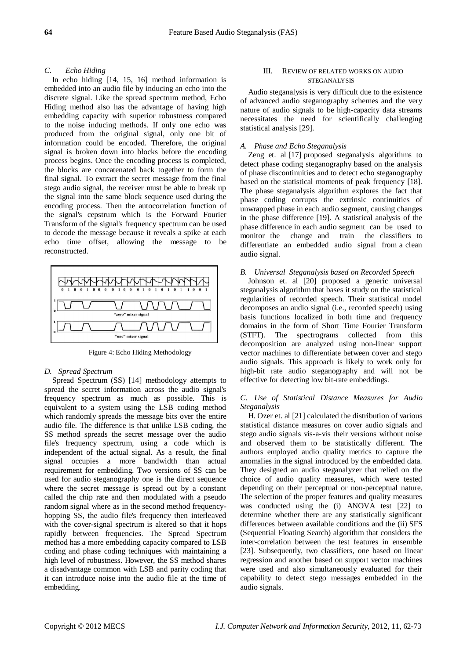# *C. Echo Hiding*

In echo hiding [14, 15, 16] method information is embedded into an audio file by inducing an echo into the discrete signal. Like the spread spectrum method, Echo Hiding method also has the advantage of having high embedding capacity with superior robustness compared to the noise inducing methods. If only one echo was produced from the original signal, only one bit of information could be encoded. Therefore, the original signal is broken down into blocks before the encoding process begins. Once the encoding process is completed, the blocks are concatenated back together to form the final signal. To extract the secret message from the final stego audio signal, the receiver must be able to break up the signal into the same block sequence used during the encoding process. Then the autocorrelation function of the signal's cepstrum which is the Forward Fourier Transform of the signal's frequency spectrum can be used to decode the message because it reveals a spike at each echo time offset, allowing the message to be reconstructed.



Figure 4: Echo Hiding Methodology

# *D. Spread Spectrum*

Spread Spectrum (SS) [14] methodology attempts to spread the secret information across the audio signal's frequency spectrum as much as possible. This is equivalent to a system using the LSB coding method which randomly spreads the message bits over the entire audio file. The difference is that unlike LSB coding, the SS method spreads the secret message over the audio file's frequency spectrum, using a code which is independent of the actual signal. As a result, the final signal occupies a more bandwidth than actual requirement for embedding. Two versions of SS can be used for audio steganography one is the direct sequence where the secret message is spread out by a constant called the chip rate and then modulated with a pseudo random signal where as in the second method frequencyhopping SS, the audio file's frequency then interleaved with the cover-signal spectrum is altered so that it hops rapidly between frequencies. The Spread Spectrum method has a more embedding capacity compared to LSB coding and phase coding techniques with maintaining a high level of robustness. However, the SS method shares a disadvantage common with LSB and parity coding that it can introduce noise into the audio file at the time of embedding.

# III. REVIEW OF RELATED WORKS ON AUDIO STEGANALYSIS

Audio steganalysis is very difficult due to the existence of advanced audio steganography schemes and the very nature of audio signals to be high-capacity data streams necessitates the need for scientifically challenging statistical analysis [29].

## *A. Phase and Echo Steganalysis*

Zeng et. al [17] proposed steganalysis algorithms to detect phase coding steganography based on the analysis of phase discontinuities and to detect echo steganography based on the statistical moments of peak frequency [18]. The phase steganalysis algorithm explores the fact that phase coding corrupts the extrinsic continuities of unwrapped phase in each audio segment, causing changes in the phase difference [19]. A statistical analysis of the phase difference in each audio segment can be used to monitor the change and train the classifiers to differentiate an embedded audio signal from a clean audio signal.

# *B. Universal Steganalysis based on Recorded Speech*

Johnson et. al [20] proposed a generic universal steganalysis algorithm that bases it study on the statistical regularities of recorded speech. Their statistical model decomposes an audio signal (i.e., recorded speech) using basis functions localized in both time and frequency domains in the form of Short Time Fourier Transform (STFT). The spectrograms collected from this decomposition are analyzed using non-linear support vector machines to differentiate between cover and stego audio signals. This approach is likely to work only for high-bit rate audio steganography and will not be effective for detecting low bit-rate embeddings.

# *C. Use of Statistical Distance Measures for Audio Steganalysis*

H. Ozer et. al [21] calculated the distribution of various statistical distance measures on cover audio signals and stego audio signals vis-a-vis their versions without noise and observed them to be statistically different. The authors employed audio quality metrics to capture the anomalies in the signal introduced by the embedded data. They designed an audio steganalyzer that relied on the choice of audio quality measures, which were tested depending on their perceptual or non-perceptual nature. The selection of the proper features and quality measures was conducted using the (i) ANOVA test [22] to determine whether there are any statistically significant differences between available conditions and the (ii) SFS (Sequential Floating Search) algorithm that considers the inter-correlation between the test features in ensemble [23]. Subsequently, two classifiers, one based on linear regression and another based on support vector machines were used and also simultaneously evaluated for their capability to detect stego messages embedded in the audio signals.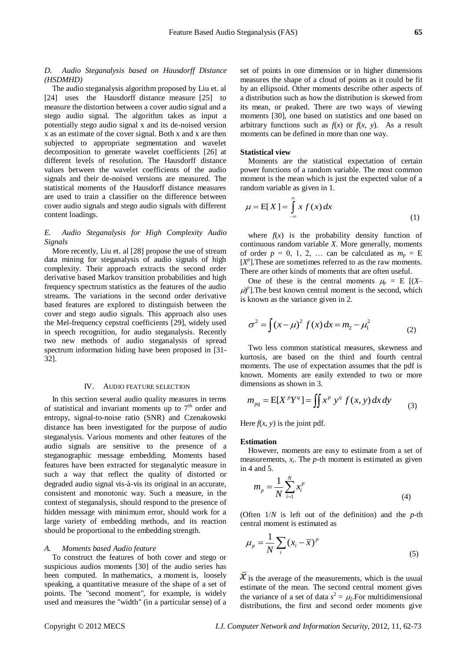*D. Audio Steganalysis based on Hausdorff Distance (HSDMHD)*

The audio steganalysis algorithm proposed by Liu et. al [24] uses the Hausdorff distance measure [25] to measure the distortion between a cover audio signal and a stego audio signal. The algorithm takes as input a potentially stego audio signal x and its de-noised version x as an estimate of the cover signal. Both x and x are then subjected to appropriate segmentation and wavelet decomposition to generate wavelet coefficients [26] at different levels of resolution. The Hausdorff distance values between the wavelet coefficients of the audio signals and their de-noised versions are measured. The statistical moments of the Hausdorff distance measures are used to train a classifier on the difference between cover audio signals and stego audio signals with different content loadings.

# *E. Audio Steganalysis for High Complexity Audio Signals*

More recently, Liu et. al [28] propose the use of stream data mining for steganalysis of audio signals of high complexity. Their approach extracts the second order derivative based Markov transition probabilities and high frequency spectrum statistics as the features of the audio streams. The variations in the second order derivative based features are explored to distinguish between the cover and stego audio signals. This approach also uses the Mel-frequency cepstral coefficients [29], widely used in speech recognition, for audio steganalysis. Recently two new methods of audio steganalysis of spread spectrum information hiding have been proposed in [31- 32].

## IV. AUDIO FEATURE SELECTION

In this section several audio quality measures in terms of statistical and invariant moments up to  $7<sup>th</sup>$  order and entropy, signal-to-noise ratio (SNR) and Czenakowski distance has been investigated for the purpose of audio steganalysis. Various moments and other features of the audio signals are sensitive to the presence of a steganographic message embedding. Moments based features have been extracted for steganalytic measure in such a way that reflect the quality of distorted or degraded audio signal vis-à-vis its original in an accurate, consistent and monotonic way. Such a measure, in the context of steganalysis, should respond to the presence of hidden message with minimum error, should work for a large variety of embedding methods, and its reaction should be proportional to the embedding strength.

## *A. Moments based Audio feature*

To construct the features of both cover and stego or suspicious audios moments [30] of the audio series has been computed. In mathematics, a moment is, loosely speaking, a quantitative measure of the shape of a set of points. The "second moment", for example, is widely used and measures the "width" (in a particular sense) of a set of points in one dimension or in higher dimensions measures the shape of a cloud of points as it could be fit by an ellipsoid. Other moments describe other aspects of a distribution such as how the distribution is skewed from its mean, or peaked. There are two ways of viewing moments [30], one based on statistics and one based on arbitrary functions such as  $f(x)$  or  $f(x, y)$ . As a result moments can be defined in more than one way.

## **Statistical view**

Moments are the statistical expectation of certain power functions of a random variable. The most common moment is the mean which is just the expected value of a random variable as given in 1.

$$
\mu = \mathbb{E}[X] = \int_{-\infty}^{\infty} x f(x) dx
$$
 (1)

where  $f(x)$  is the probability density function of continuous random variable *X*. More generally, moments of order  $p = 0, 1, 2, \ldots$  can be calculated as  $m_p = E$  $[X^p]$ . These are sometimes referred to as the raw moments. There are other kinds of moments that are often useful.

One of these is the central moments  $\mu_p = E$  [(*X*–  $\mu$ <sup>p</sup>]. The best known central moment is the second, which is known as the variance given in 2.

$$
\sigma^2 = \int (x - \mu)^2 f(x) dx = m_2 - \mu_1^2
$$
 (2)

Two less common statistical measures, skewness and kurtosis, are based on the third and fourth central moments. The use of expectation assumes that the pdf is known. Moments are easily extended to two or more dimensions as shown in 3.

mensons as shown in 3.

\n
$$
m_{pq} = E[X^p Y^q] = \iint x^p y^q f(x, y) dx dy
$$
\n(3)

Here  $f(x, y)$  is the joint pdf.

## **Estimation**

However, moments are easy to estimate from a set of measurements,  $x_i$ . The  $p$ -th moment is estimated as given in 4 and 5.

$$
m_p = \frac{1}{N} \sum_{i=1}^{N} x_i^p
$$
 (4)

(Often 1/*N* is left out of the definition) and the *p*-th central moment is estimated as

$$
\mu_p = \frac{1}{N} \sum_i (x_i - \overline{x})^p
$$
\n(5)

 $\mathcal{X}$  is the average of the measurements, which is the usual estimate of the mean. The second central moment gives the variance of a set of data  $s^2 = \mu_2$ . For multidimensional distributions, the first and second order moments give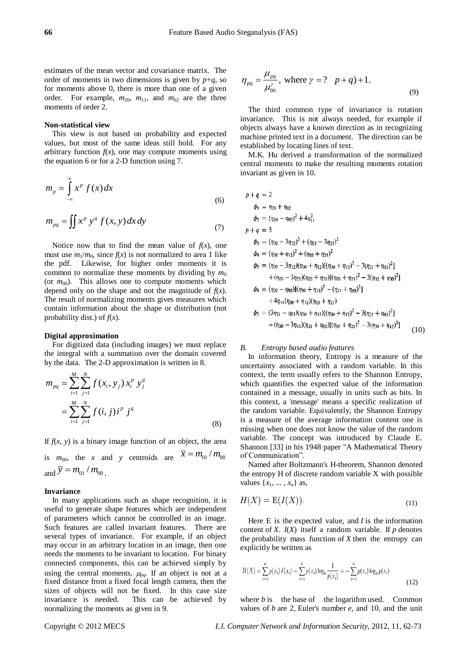estimates of the mean vector and covariance matrix. The order of moments in two dimensions is given by  $p+q$ , so for moments above 0, there is more than one of a given order. For example,  $m_{20}$ ,  $m_{11}$ , and  $m_{02}$  are the three moments of order 2.

#### **Non-statistical view**

This view is not based on probability and expected values, but most of the same ideas still hold. For any arbitrary function  $f(x)$ , one may compute moments using the equation 6 or for a 2-D function using 7.

$$
m_p = \int_{-\infty}^{\infty} x^p f(x) dx
$$
 (6)

$$
m_{pq} = \iint x^p y^q f(x, y) dx dy
$$
 (7)

Notice now that to find the mean value of  $f(x)$ , one must use  $m_1/m_0$ , since  $f(x)$  is not normalized to area 1 like the pdf. Likewise, for higher order moments it is common to normalize these moments by dividing by  $m_0$ (or  $m_{00}$ ). This allows one to compute moments which depend only on the shape and not the magnitude of  $f(x)$ . The result of normalizing moments gives measures which contain information about the shape or distribution (not probability dist.) of *f*(*x*).

## **Digital approximation**

For digitized data (including images) we must replace the integral with a summation over the domain covered by the data. The 2-D approximation is written in 8.

$$
m_{pq} = \sum_{i=1}^{M} \sum_{j=1}^{N} f(x_i, y_j) x_i^p y_j^q
$$
  
= 
$$
\sum_{i=1}^{M} \sum_{j=1}^{N} f(i, j) i^p j^q
$$
 (8)

If  $f(x, y)$  is a binary image function of an object, the area

is  $m_{00}$ , the *x* and *y* centroids are  $\bar{x} = m_{10} / m_{00}$ and  $\bar{y} = m_{01} / m_{00}$ .

#### **Invariance**

In many applications such as shape recognition, it is useful to generate shape features which are independent of parameters which cannot be controlled in an image. Such features are called invariant features. There are several types of invariance. For example, if an object may occur in an arbitrary location in an image, then one needs the moments to be invariant to location. For binary connected components, this can be achieved simply by using the central moments,  $\mu_{pq}$ . If an object is not at a fixed distance from a fixed focal length camera, then the sizes of objects will not be fixed. In this case size invariance is needed. This can be achieved by normalizing the moments as given in 9.

$$
\eta_{pq} = \frac{\mu_{pq}}{\mu_{00}^{\gamma}}, \text{ where } \gamma = ? \quad p+q)+1.
$$
 (9)

The third common type of invariance is rotation invariance. This is not always needed, for example if objects always have a known direction as in recognizing machine printed text in a document. The direction can be established by locating lines of text.

M.K. Hu derived a transformation of the normalized central moments to make the resulting moments rotation invariant as given in 10.

$$
p + q = 2
$$
  
\n
$$
\phi_1 = \eta_{20} + \eta_{02}
$$
  
\n
$$
\phi_2 = (\eta_{20} - \eta_{02})^2 + 4\eta_{11}^2
$$
  
\n
$$
p + q = 3
$$
  
\n
$$
\phi_3 = (\eta_{30} - 3\eta_{12})^2 + (\eta_{03} - 3\eta_{21})^2
$$
  
\n
$$
\phi_4 = (\eta_{30} + \eta_{12})^2 + (\eta_{03} + \eta_{21})^2
$$
  
\n
$$
\phi_5 = (\eta_{30} - 3\eta_{12})(\eta_{30} + \eta_{12})[(\eta_{30} + \eta_{12})^2 - 3(\eta_{21} + \eta_{03})^2]
$$
  
\n
$$
+ (\eta_{03} - 3\eta_{21})(\eta_{03} + \eta_{21})[(\eta_{03} + \eta_{21})^2 - 3(\eta_{12} + \eta_{30})^2]
$$
  
\n
$$
\phi_6 = (\eta_{20} - \eta_{02})[(\eta_{30} + \eta_{12})^2 - (\eta_{21} + \eta_{03})^2]
$$
  
\n
$$
+ 4\eta_{11}(\eta_{30} + \eta_{12})(\eta_{03} + \eta_{21})
$$
  
\n
$$
\phi_7 = (3\eta_{21} - \eta_{03})(\eta_{30} + \eta_{12})[(\eta_{30} + \eta_{12})^2 - 3(\eta_{21} + \eta_{03})^2]
$$
  
\n
$$
+ (\eta_{30} - 3\eta_{12})(\eta_{21} + \eta_{03})[(\eta_{03} + \eta_{21})^2 - 3(\eta_{30} + \eta_{12})^2]
$$
  
\n(10)

# *B. Entropy based audio features*

In information theory, Entropy is a measure of the uncertainty associated with a random variable. In this context, the term usually refers to the Shannon Entropy, which quantifies the expected value of the information contained in a message, usually in units such as bits. In this context, a 'message' means a specific realization of the random variable. Equivalently, the Shannon Entropy is a measure of the average information content one is missing when one does not know the value of the random variable. The concept was introduced by Claude E. Shannon [33] in his 1948 paper "A Mathematical Theory of Communication".

Named after Boltzmann's H-theorem, Shannon denoted the entropy H of discrete random variable X with possible values  $\{x_1, \ldots, x_n\}$  as,

$$
H(X) = \mathcal{E}(I(X)).\tag{11}
$$

Here E is the expected value, and *I* is the information content of *X*.  $I(X)$  itself a random variable. If  $p$  denotes the probability mass function of *X* then the entropy can explicitly be written as

$$
H(X) = \sum_{i=1}^{n} p(x_i) I(x_i) = \sum_{i=1}^{n} p(x_i) \log_b \frac{1}{p(x_i)} = -\sum_{i=1}^{n} p(x_i) \log_b p(x_i)
$$
\n(12)

where  $b$  is the base of the logarithm used. Common values of *b* are 2, Euler's number *e*, and 10, and the unit

Copyright © 2012 MECS *I.J. Computer Network and Information Security,* 2012, 11, 62-73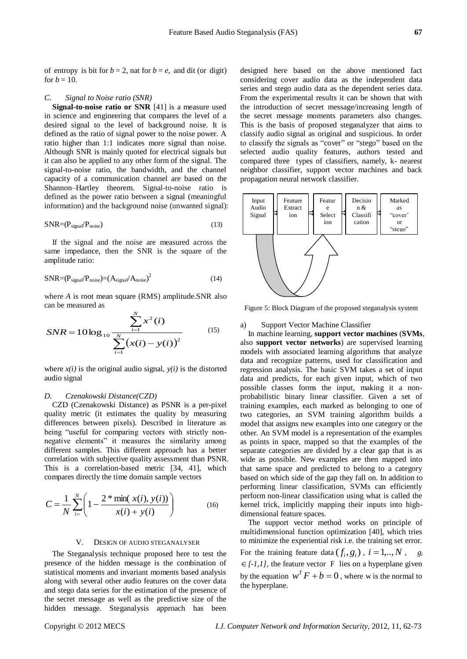of entropy is bit for  $b = 2$ , nat for  $b = e$ , and dit (or digit) for  $b = 10$ .

## *C. Signal to Noise ratio (SNR)*

**Signal-to-noise ratio or SNR** [41] is a measure used in science and engineering that compares the level of a desired signal to the level of background noise. It is defined as the ratio of signal power to the noise power. A ratio higher than 1:1 indicates more signal than noise. Although SNR is mainly quoted for electrical signals but it can also be applied to any other form of the signal. The signal-to-noise ratio, the bandwidth, and the channel capacity of a communication channel are based on the Shannon–Hartley theorem. Signal-to-noise ratio is defined as the power ratio between a signal (meaningful information) and the background noise (unwanted signal):

$$
SNR = (P_{signal}/P_{noise})
$$
 (13)

If the signal and the noise are measured across the same impedance, then the SNR is the square of the amplitude ratio:

$$
SNR = (P_{signal}/P_{noise}) = (A_{signal}/A_{noise})^2
$$
\n(14)

where *A* is root mean square (RMS) amplitude.SNR also can be measured as

$$
SNR = 10 \log_{10} \frac{\sum_{i=1}^{N} x^2(i)}{\sum_{i=1}^{N} (x(i) - y(i))^2}
$$
(15)

where  $x(i)$  is the original audio signal,  $y(i)$  is the distorted audio signal

## *D. Czenakowski Distance(CZD)*

CZD (Czenakowski Distance) as PSNR is a per-pixel quality metric (it estimates the quality by measuring differences between pixels). Described in literature as being "useful for comparing vectors with strictly nonnegative elements" it measures the similarity among different samples. This different approach has a better correlation with subjective quality assessment than PSNR. This is a correlation-based metric [34, 41], which compares directly the time domain sample vectors

$$
C = \frac{1}{N} \sum_{i=1}^{N} \left( 1 - \frac{2 \cdot \min(x(i), y(i))}{x(i) + y(i)} \right)
$$
(16)

#### V. DESIGN OF AUDIO STEGANALYSER

The Steganalysis technique proposed here to test the presence of the hidden message is the combination of statistical moments and invariant moments based analysis along with several other audio features on the cover data and stego data series for the estimation of the presence of the secret message as well as the predictive size of the hidden message. Steganalysis approach has been designed here based on the above mentioned fact considering cover audio data as the independent data series and stego audio data as the dependent series data. From the experimental results it can be shown that with the introduction of secret message/increasing length of the secret message moments parameters also changes. This is the basis of proposed steganalyzer that aims to classify audio signal as original and suspicious. In order to classify the signals as "cover" or "stego" based on the selected audio quality features, authors tested and compared three types of classifiers, namely, k- nearest neighbor classifier, support vector machines and back propagation neural network classifier.



Figure 5: Block Diagram of the proposed steganalysis system

## a) Support Vector Machine Classifier

In machine learning, **support vector machines** (**SVMs**, also **support vector networks**) are supervised learning models with associated learning algorithms that analyze data and recognize patterns, used for classification and regression analysis. The basic SVM takes a set of input data and predicts, for each given input, which of two possible classes forms the input, making it a nonprobabilistic binary linear classifier. Given a set of training examples, each marked as belonging to one of two categories, an SVM training algorithm builds a model that assigns new examples into one category or the other. An SVM model is a representation of the examples as points in space, mapped so that the examples of the separate categories are divided by a clear gap that is as wide as possible. New examples are then mapped into that same space and predicted to belong to a category based on which side of the gap they fall on. In addition to performing linear classification, SVMs can efficiently perform non-linear classification using what is called the kernel trick, implicitly mapping their inputs into highdimensional feature spaces.

The support vector method works on principle of multidimensional function optimization [40], which tries to minimize the experiential risk i.e. the training set error. For the training feature data  $(f_i, g_i)$ ,  $i = 1, ..., N$ , g  $\in$  [-1,1], the feature vector F lies on a hyperplane given by the equation  $w^T F + b = 0$ , where w is the normal to the hyperplane.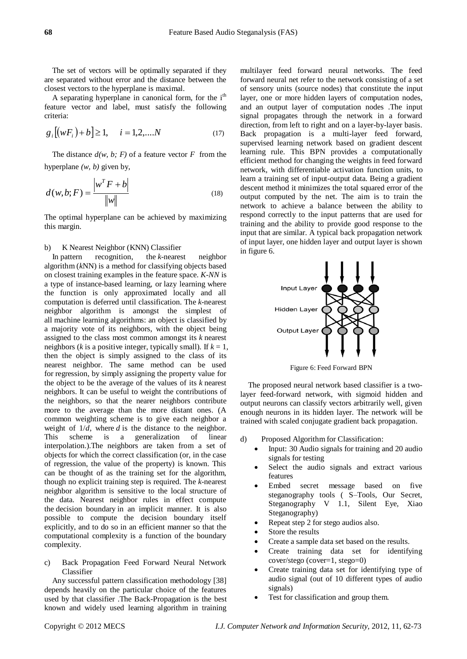The set of vectors will be optimally separated if they are separated without error and the distance between the closest vectors to the hyperplane is maximal.

A separating hyperplane in canonical form, for the i<sup>th</sup> feature vector and label, must satisfy the following criteria:

$$
g_i[(wF_i) + b] \ge 1, \quad i = 1, 2, \dots N
$$
 (17)

The distance  $d(w, b; F)$  of a feature vector  $F$  from the hyperplane *(w, b)* given by,

$$
d(w,b;F) = \frac{\left|w^T F + b\right|}{\|w\|} \tag{18}
$$

The optimal hyperplane can be achieved by maximizing this margin.

# b) K Nearest Neighbor (KNN) Classifier

In pattern recognition, the *k*-nearest neighbor algorithm (*k*NN) is a method for classifying objects based on closest training examples in the feature space. *K-NN* is a type of instance-based learning, or lazy learning where the function is only approximated locally and all computation is deferred until classification. The *k*-nearest neighbor algorithm is amongst the simplest of all machine learning algorithms: an object is classified by a majority vote of its neighbors, with the object being assigned to the class most common amongst its *k* nearest neighbors ( $k$  is a positive integer, typically small). If  $k = 1$ , then the object is simply assigned to the class of its nearest neighbor. The same method can be used for regression, by simply assigning the property value for the object to be the average of the values of its *k* nearest neighbors. It can be useful to weight the contributions of the neighbors, so that the nearer neighbors contribute more to the average than the more distant ones. (A common weighting scheme is to give each neighbor a weight of 1/*d*, where *d* is the distance to the neighbor. This scheme is a generalization of linear interpolation.).The neighbors are taken from a set of objects for which the correct classification (or, in the case of regression, the value of the property) is known. This can be thought of as the training set for the algorithm, though no explicit training step is required. The *k*-nearest neighbor algorithm is sensitive to the local structure of the data. Nearest neighbor rules in effect compute the decision boundary in an implicit manner. It is also possible to compute the decision boundary itself explicitly, and to do so in an efficient manner so that the computational complexity is a function of the boundary complexity.

c) Back Propagation Feed Forward Neural Network Classifier

Any successful pattern classification methodology [38] depends heavily on the particular choice of the features used by that classifier .The Back-Propagation is the best known and widely used learning algorithm in training multilayer feed forward neural networks. The feed forward neural net refer to the network consisting of a set of sensory units (source nodes) that constitute the input layer, one or more hidden layers of computation nodes, and an output layer of computation nodes .The input signal propagates through the network in a forward direction, from left to right and on a layer-by-layer basis. Back propagation is a multi-layer feed forward, supervised learning network based on gradient descent learning rule. This BPN provides a computationally efficient method for changing the weights in feed forward network, with differentiable activation function units, to learn a training set of input-output data. Being a gradient descent method it minimizes the total squared error of the output computed by the net. The aim is to train the network to achieve a balance between the ability to respond correctly to the input patterns that are used for training and the ability to provide good response to the input that are similar. A typical back propagation network of input layer, one hidden layer and output layer is shown in figure 6.



Figure 6: Feed Forward BPN

The proposed neural network based classifier is a twolayer feed-forward network, with sigmoid hidden and output neurons can classify vectors arbitrarily well, given enough neurons in its hidden layer. The network will be trained with scaled conjugate gradient back propagation.

- d) Proposed Algorithm for Classification:
	- Input: 30 Audio signals for training and 20 audio signals for testing
	- Select the audio signals and extract various features
	- Embed secret message based on five steganography tools ( S–Tools, Our Secret, Steganography V 1.1, Silent Eye, Xiao Steganography)
	- Repeat step 2 for stego audios also.
	- Store the results
	- Create a sample data set based on the results.
	- Create training data set for identifying cover/stego (cover=1, stego=0)
	- Create training data set for identifying type of audio signal (out of 10 different types of audio signals)
	- Test for classification and group them.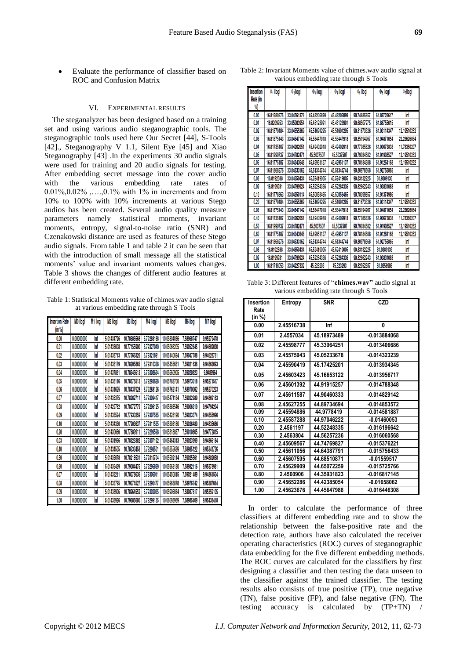Evaluate the performance of classifier based on ROC and Confusion Matrix

# VI. EXPERIMENTAL RESULTS

The steganalyzer has been designed based on a training set and using various audio steganographic tools. The steganographic tools used here Our Secret [44], S-Tools [42]., Steganography V 1.1, Silent Eye [45] and Xiao Steganography [43] .In the experiments 30 audio signals were used for training and 20 audio signals for testing. After embedding secret message into the cover audio with the various embedding rate rates of 0.01%,0.02% ,….,0.1% with 1% in increments and from 10% to 100% with 10% increments at various Stego audios has been created. Several audio quality measure parameters namely statistical moments, invariant moments, entropy, signal-to-noise ratio (SNR) and Czenakowski distance are used as features of these Stego audio signals. From table 1 and table 2 it can be seen that with the introduction of small message all the statistical moments' value and invariant moments values changes. Table 3 shows the changes of different audio features at different embedding rate.

Table 1: Statistical Moments value of chimes.wav audio signal at various embedding rate through S Tools

| <b>Insertion Rate</b> | MO llogl   | M1 llogl | M <sub>2</sub> llogl | M3 llogl    | M4 llogi   | M5 llogl    | M6 llogl   | M7 llogl   |
|-----------------------|------------|----------|----------------------|-------------|------------|-------------|------------|------------|
| (in %)                |            |          |                      |             |            |             |            |            |
| 0.00                  | 0.00000000 | Inf      | 5.01434726           | 10.78686568 | 6.79288188 | 10.05804036 | 7.58968747 | 9.95279478 |
| 0.01                  | 0.00000000 | Inf      | 5.01438608           | 10.77155900 | 6.79327040 | 10.05066205 | 7.59052845 | 9.94602030 |
| 0.02                  | 0.00000000 | Inf      | 5.01438713           | 10.77566326 | 6.79321891 | 10.05140694 | 7.59047788 | 9.94628761 |
| 0.03                  | 0.00000000 | Inf      | 5.01438179           | 10.78205865 | 6.79310338 | 10.05455681 | 7.59021636 | 9.94863093 |
| 0.04                  | 0.00000000 | Inf      | 5.01437881           | 10.78545613 | 6.79308634 | 10.05560905 | 7.59020823 | 9.9489964  |
| 0.05                  | 0.00000000 | Inf      | 5.01435116           | 10.78576513 | 6.79293628 | 10.05783700 | 7.58973018 | 9.95271517 |
| 0.06                  | 0.00000000 | Inf      | 5.01431625           | 10.78437928 | 6.79288126 | 10.05762141 | 7.58970062 | 9.95270223 |
| 0.07                  | 0.00000000 | Inf      | 5.01435375           | 10.78262711 | 6.79309417 | 10.05471134 | 7.59022989 | 9.94869163 |
| 0.08                  | 0.00000000 | Inf      | 5.01429782           | 10.78072779 | 6.79296125 | 10.05383546 | 7.59006319 | 9.94794204 |
| 0.09                  | 0.00000000 | Inf      | 5.01433524           | 10.77930259 | 6.79307585 | 10.05428190 | 7.59023374 | 9.94855996 |
| 0.10                  | 0.00000000 | Inf      | 5.01434330           | 10.77903637 | 6.79311535 | 10.05393180 | 7.59026489 | 9.94835686 |
| 0.20                  | 0.00000000 | Inf      | 5.01430666           | 10.77689911 | 6.79299598 | 10.05318837 | 7.59010805 | 9.94772815 |
| 0.03                  | 0.00000000 | Inf      | 5.01431966           | 10.78323382 | 6.79307192 | 10.05464313 | 7.59023999 | 9.94866184 |
| 0.40                  | 0.00000000 | Inf      | 5.01434505           | 10.78533458 | 6.79298501 | 10.05855689 | 7.58985122 | 9.95341726 |
| 0.50                  | 0.00000000 | Inf      | 5.01435078           | 10.78218531 | 6.79310704 | 10.05502114 | 7.59025561 | 9.94882058 |
| 0.60                  | 0.00000000 | Inf      | 5.01436439           | 10.79084476 | 6.79296899 | 10.05963130 | 7.58982116 | 9.95378981 |
| 0.07                  | 0.00000000 | Inf      | 5.01433211           | 10.78078636 | 6.79306011 | 10.05450815 | 7.59021489 | 9.94861504 |
| 0.08                  | 0.00000000 | Inf      | 5.01433795           | 10.79074527 | 6.79290477 | 10.05968878 | 7.58976742 | 9.95387044 |
| 0.09                  | 0.00000000 | Inf      | 5.01438906           | 10.78964552 | 6.79302935 | 10.05906084 | 7.58987617 | 9.95359105 |
| 1.00                  | 0.00000000 | Inf      | 5.01433926           | 10.79685680 | 6.79299135 | 10.06095969 | 7.58985409 | 9.95438418 |

Table 2: Invariant Moments value of chimes.wav audio signal at various embedding rate through S Tools

| Insertion | $\Phi_1$ llogl | $\Phi_2$ llogl | $\Phi_3$ llogl | $\Phi_4$ llogl | $\Phi_5$ llogl | $\Phi_6$ llogl | $\Phi$ <sub>7</sub>   og |
|-----------|----------------|----------------|----------------|----------------|----------------|----------------|--------------------------|
| Rate (in  |                |                |                |                |                |                |                          |
| $\%$      |                |                |                |                |                |                |                          |
| 0.00      | 16.81980375    | 33.04761376    | 45.48205899    | 45.48205899    | 90.74685857    | 61.89723617    | Inf                      |
| 0.01      | 16.8209953     | 33.05003954    | 45.45123991    | 45.45123991    | 90.68507275    | 61.86755615    | Inf                      |
| 0.02      | 16.81879184    | 33.04555369    | 45.51691295    | 45.51691295    | 90.81673326    | 61.93114347    | 12.19510252              |
| 0.03      | 16.81875143    | 33.04547142    | 45.53447918    | 45.53447918    | 90.85194967    | 61.94871054    | 22.23626064              |
| 0.04      | 16.81735107    | 33.04262051    | 45.49402918    | 45.49402918    | 90.77085626    | 61.90673838    | 11.78350207              |
| 0.05      | 16.81990737    | 33.04782471    | 45.5037507     | 45.5037507     | 90.79034582    | 61.91908527    | 12.19510252              |
| 0.06      | 16.81775187    | 33,04343648    | 45.49951137    | 45.49951137    | 90.78184688    | 61.91264168    | 12.19510252              |
| 0.07      | 16.81868276    | 33.04533162    | 45.51344744    | 45.51344744    | 90.80978568    | 61.92755865    | Inf                      |
| 0.08      | 16.8192588     | 33.04650434    | 45.52419005    | 45.52419005    | 90.83132225    | 61.9389133     | Inf                      |
| 0.09      | 16.8199931     | 33.04799924    | 45.52284336    | 45.52284336    | 90.82862243    | 61.93831083    | Inf                      |
| 0.10      | 16.81778363    | 33.04350114    | 45.50058465    | 45.50058465    | 90.78399857    | 61.91374986    | Inf                      |
| 0.20      | 16.81879184    | 33.04555369    | 45.51691295    | 45.51691295    | 90.81673326    | 61.93114347    | 12.19510252              |
| 0.03      | 16.81875143    | 33.04547142    | 45.53447918    | 45.53447918    | 90.85194967    | 61.94871054    | 22.23626064              |
| 0.40      | 16.81735107    | 33.04262051    | 45.49402918    | 45.49402918    | 90.77085626    | 61.90673838    | 11.78350207              |
| 0.50      | 16.81990737    | 33.04782471    | 45.5037507     | 45.5037507     | 90.79034582    | 61.91908527    | 12.19510252              |
| 0.60      | 16.81775187    | 33.04343648    | 45.49951137    | 45.49951137    | 90.78184688    | 61.91264168    | 12.19510252              |
| 0.07      | 16.81868276    | 33.04533162    | 45.51344744    | 45.51344744    | 90.80978568    | 61.92755865    | Inf                      |
| 0.08      | 16.8192588     | 33.04650434    | 45.52419005    | 45.52419005    | 90.83132225    | 61.9389133     | Inf                      |
| 0.09      | 16.8199931     | 33.04799924    | 45.52284336    | 45.52284336    | 90.82862243    | 61.93831083    | Inf                      |
| 1.00      | 16.81718053    | 33.04227332    | 45.523293      | 45.523293      | 90.82952387    | 61.9358986     | Inf                      |

Table 3: Different features of "chimes.wav" audio signal at various embedding rate through S Tools

| <b>Insertion</b><br>Rate<br>(in %) | <b>Entropy</b> | <b>SNR</b>  | <b>CZD</b>     |
|------------------------------------|----------------|-------------|----------------|
| 0.00                               | 2.45516738     | Inf         | 0              |
| 0.01                               | 2.4557034      | 45.18973489 | $-0.013884068$ |
| 0.02                               | 2.45598777     | 45.33964251 | -0.013406686   |
| 0.03                               | 2.45575943     | 45.05233678 | $-0.014323239$ |
| 0.04                               | 2.45590419     | 45.17425201 | $-0.013934345$ |
| 0.05                               | 2.45603423     | 45.16653122 | $-0.013956717$ |
| 0.06                               | 2.45601392     | 44.91915257 | $-0.014788348$ |
| 0.07                               | 2.45611587     | 44.90460333 | -0.014829142   |
| 0.08                               | 2.45627255     | 44.89734694 | $-0.014853572$ |
| 0.09                               | 2.45594886     | 44.9778419  | $-0.014581887$ |
| 0.10                               | 2.45587288     | 44.97046222 | $-0.01460053$  |
| 0.20                               | 2.4561197      | 44.52248335 | $-0.016196642$ |
| 0.30                               | 2.4563804      | 44.56257236 | $-0.016060568$ |
| 0.40                               | 2.45609567     | 44.74769827 | $-0.015376221$ |
| 0.50                               | 2.45611056     | 44.64387791 | $-0.015756433$ |
| 0.60                               | 2.45607595     | 44.68510871 | $-0.01559517$  |
| 0.70                               | 2.45629909     | 44.65072259 | $-0.015725766$ |
| 0.80                               | 2.4560906      | 44.35931823 | $-0.016817145$ |
| 0.90                               | 2.45652286     | 44.42385054 | $-0.01658062$  |
| 1.00                               | 2.45623676     | 44.45647988 | $-0.016446308$ |

In order to calculate the performance of three classifiers at different embedding rate and to show the relationship between the false-positive rate and the detection rate, authors have also calculated the receiver operating characteristics (ROC) curves of steganographic data embedding for the five different embedding methods. The ROC curves are calculated for the classifiers by first designing a classifier and then testing the data unseen to the classifier against the trained classifier. The testing results also consists of true positive (TP), true negative (TN), false positive (FP), and false negative (FN). The testing accuracy is calculated by  $(TP+TN)$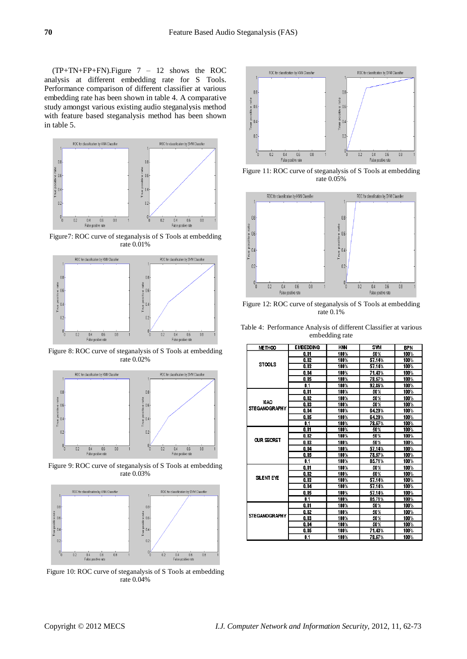(TP+TN+FP+FN).Figure 7 – 12 shows the ROC analysis at different embedding rate for S Tools. Performance comparison of different classifier at various embedding rate has been shown in table 4. A comparative study amongst various existing audio steganalysis method with feature based steganalysis method has been shown in table 5.



Figure7: ROC curve of steganalysis of S Tools at embedding rate 0.01%



Figure 8: ROC curve of steganalysis of S Tools at embedding rate 0.02%



Figure 9: ROC curve of steganalysis of S Tools at embedding rate 0.03%



Figure 10: ROC curve of steganalysis of S Tools at embedding rate 0.04%



Figure 11: ROC curve of steganalysis of S Tools at embedding rate 0.05%



Figure 12: ROC curve of steganalysis of S Tools at embedding rate 0.1%

Table 4: Performance Analysis of different Classifier at various embedding rate

| <b>METHOD</b>         | <b>EMBEDDING</b> | KNN  | SVM    | BPN  |
|-----------------------|------------------|------|--------|------|
|                       | 0.01             | 100% | 50%    | 100% |
|                       | 0.02             | 100% | 57.14% | 100% |
| <b>STOOLS</b>         | 0.03             | 100% | 57.14% | 100% |
|                       | 0.04             | 100% | 71.43% | 100% |
|                       | 0.05             | 100% | 78.57% | 100% |
|                       | 0.1              | 100% | 92.86% | 100% |
|                       | 0.01             | 100% | 50%    | 100% |
|                       | 0.02             | 100% | 50%    | 100% |
| XIAO                  | 0.03             | 100% | 50%    | 100% |
| <b>STE GANOGRAPHY</b> | 0.04             | 100% | 64.29% | 100% |
|                       | 0.05             | 100% | 64.29% | 100% |
|                       | 0.1              | 100% | 78.57% | 100% |
|                       | 0.01             | 100% | 50%    | 100% |
|                       | 0.02             | 100% | 50%    | 100% |
| <b>OUR SECRET</b>     | 0.03             | 100% | 50%    | 100% |
|                       | 0.04             | 100% | 57.14% | 100% |
|                       | 0.05             | 100% | 78.57% | 100% |
|                       | 0.1              | 100% | 85.71% | 100% |
|                       | 0.01             | 100% | 50%    | 100% |
|                       | 0.02             | 100% | 50%    | 100% |
| <b>SILENT EYE</b>     | 0.03             | 100% | 57.14% | 100% |
|                       | 0.04             | 100% | 57.14% | 100% |
|                       | 0.05             | 100% | 57.14% | 100% |
|                       | 0.1              | 100% | 85.71% | 100% |
|                       | 0.01             | 100% | 50%    | 100% |
|                       | 0.02             | 100% | 50%    | 100% |
| <b>STEGANOGRAPHY</b>  | 0.03             | 100% | 50%    | 100% |
|                       | 0.04             | 100% | 50%    | 100% |
|                       | 0.05             | 100% | 71.43% | 100% |
|                       | 0.1              | 100% | 78.57% | 100% |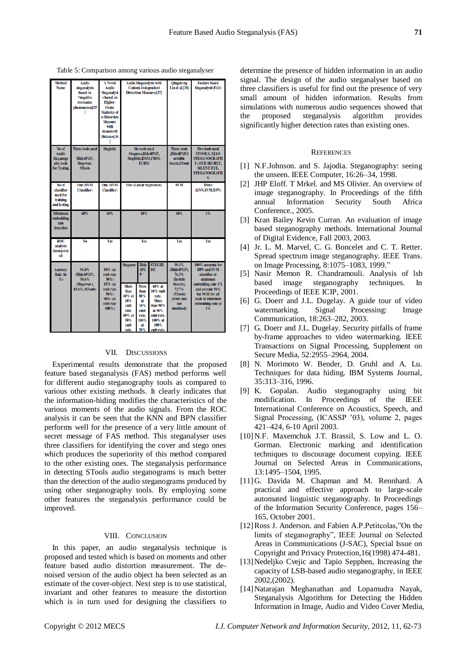Table 5: Comparison among various audio steganalyser

| <b>Method</b><br><b>Name</b>                                          | Audio<br>steganalysis<br>based on<br>"negative<br>resonance<br>phenomenon[35 | <b>A</b> Novel<br><b>Audio</b><br><b>Steganalysi</b><br>s based on<br>Higher-<br><b>Order</b><br><b>Statistics of</b><br>a Distortion<br><b>Measure</b><br>with<br><b>Hausdorff</b><br>Distance[36 | <b>Audio Steganalysis with</b><br><b>Content-Independent</b><br><b>Distortion Measures[37]</b>                 |                                                                                                  |                                                                                                                                        | <b>Qingzhong</b><br>Liu et al.[38]                                                                            | <b>Feature based</b><br><b>Steganalysis(FAS)</b>                                                                                                                                     |
|-----------------------------------------------------------------------|------------------------------------------------------------------------------|----------------------------------------------------------------------------------------------------------------------------------------------------------------------------------------------------|----------------------------------------------------------------------------------------------------------------|--------------------------------------------------------------------------------------------------|----------------------------------------------------------------------------------------------------------------------------------------|---------------------------------------------------------------------------------------------------------------|--------------------------------------------------------------------------------------------------------------------------------------------------------------------------------------|
| No of<br><b>Audio</b><br><b>Steganogr</b><br>phy tools<br>for Testing | <b>Three tools used</b><br>Hide4PGP,<br>Stegoway,<br><b>STools</b>           | <b>Steghide</b>                                                                                                                                                                                    | <b>Six tools used</b><br>Steganos, Hide4PGP,<br>StegHide,DSSS,FHSS,<br><b>ECHO</b>                             |                                                                                                  |                                                                                                                                        | <b>Three tools</b><br>Hide4PGP.I.<br>nvisible<br><b>Secret, STools</b>                                        | <b>Five tools used</b><br><b>STOOLS, XIAO</b><br><b>STEGANOGRAPH</b><br>Y, OUR SECRET.<br><b>SILENT EYE.</b><br><b>STEGANOGRAPH</b><br>Y                                             |
| No of<br>classifier<br>used for<br>training<br>and testing            | One (SVM<br><b>Classifier</b> )                                              | One (SVM<br><b>Classifier</b> )                                                                                                                                                                    | One (Linear regression)                                                                                        |                                                                                                  |                                                                                                                                        | <b>SVM</b>                                                                                                    | <b>Three</b><br>(KNN,SVM,BPN)                                                                                                                                                        |
| <b>Minimum</b><br>embedding<br>rate<br>detection                      | 60%                                                                          | 10%                                                                                                                                                                                                | 10%                                                                                                            |                                                                                                  | 10%                                                                                                                                    | 1%                                                                                                            |                                                                                                                                                                                      |
| <b>ROC</b><br>analysis<br>incorporat<br>ed                            | No.                                                                          | <b>Yes</b>                                                                                                                                                                                         | <b>Yes</b>                                                                                                     |                                                                                                  | <b>Yes</b>                                                                                                                             | <b>Yes</b>                                                                                                    |                                                                                                                                                                                      |
| <b>Aurracy</b><br>Rate (in<br>$\%$ )                                  | 96.8%<br>(Hide4PGP),<br>98.6%<br>(Stegoway),<br>85.6% (STools)               | 80% (at<br>emb rate<br>$30\%$ )<br>85% (at<br>emb rate<br>$50\%$ )<br>90% (at<br>emb rate<br>$100\%$                                                                                               | <b>Steganos</b><br><b>More</b><br>than<br>$60\%$ at<br>10%<br>emb<br>rate.<br>$80\%$ at<br>50%<br>emb<br>rate. | <b>Hide</b><br>4PG<br>P<br>More<br>than<br>80%<br>at<br>10%<br>emb<br>rate.<br>100%<br>at<br>50% | <b>STEGHI</b><br>DE<br>60% at<br>10% emb<br>rate.<br><b>More</b><br>than $90\%$<br>at 50%<br>emb rate.<br>100% at<br>100%<br>emb rate. | 99.1%<br>(Hide4PGP).<br>76.3%<br>(Invisile<br>Secrets).<br>72.7%<br>(STools)<br>(Emb rate<br>not<br>mentioed) | 100% accurate for<br><b>BPN</b> and <b>SVM</b><br>classifier at<br>minimum<br>embedding rate 1%<br>and averate 50%<br>for SVM for all<br>tools at minimum<br>embedding rate of<br>1% |

## VII. DISCUSSIONS

Experimental results demonstrate that the proposed feature based steganalysis (FAS) method performs well for different audio steganography tools as compared to various other existing methods. It clearly indicates that the information-hiding modifies the characteristics of the various moments of the audio signals. From the ROC analysis it can be seen that the KNN and BPN classifier performs well for the presence of a very little amount of secret message of FAS method. This steganalyser uses three classifiers for identifying the cover and stego ones which produces the superiority of this method compared to the other existing ones. The steganalysis performance in detecting STools audio steganograms is much better than the detection of the audio steganograms produced by using other steganography tools. By employing some other features the steganalysis performance could be improved.

## VIII. CONCLUSION

In this paper, an audio steganalysis technique is proposed and tested which is based on moments and other feature based audio distortion measurement. The denoised version of the audio object ha been selected as an estimate of the cover-object. Next step is to use statistical, invariant and other features to measure the distortion which is in turn used for designing the classifiers to

determine the presence of hidden information in an audio signal. The design of the audio steganalyser based on three classifiers is useful for find out the presence of very small amount of hidden information. Results from simulations with numerous audio sequences showed that the proposed steganalysis algorithm provides significantly higher detection rates than existing ones.

#### **REFERENCES**

- [1] N.F.Johnson. and S. Jajodia. Steganography: seeing the unseen. IEEE Computer, 16:26–34, 1998.
- [2] JHP Eloff. T Mrkel. and MS Olivier. An overview of image steganography. In Proceedings of the fifth annual Information Security South Africa Conference., 2005.
- [3] Kran Bailey Kevin Curran. An evaluation of image based steganography methods. International Journal of Digital Evidence, Fall 2003, 2003.
- [4] Jr. L. M. Marvel, C. G. Boncelet and C. T. Retter. Spread spectrum image steganography. IEEE Trans. on Image Processing, 8:1075–1083, 1999."
- [5] Nasir Memon R. Chandramouli. Analysis of lsb based image steganography techniques. In Proceedings of IEEE ICIP, 2001.
- [6] G. Doerr and J.L. Dugelay. A guide tour of video watermarking. Signal Processing: Image Communication, 18:263–282, 2003.
- [7] G. Doerr and J.L. Dugelay. Security pitfalls of frame by-frame approaches to video watermarking. IEEE Transactions on Signal Processing, Supplement on Secure Media, 52:2955–2964, 2004.
- [8] N. Morimoto W. Bender, D. Gruhl and A. Lu. Techniques for data hiding. IBM Systems Journal, 35:313–316, 1996.
- [9] K. Gopalan. Audio steganography using bit modification. In Proceedings of the IEEE International Conference on Acoustics, Speech, and Signal Processing, (ICASSP '03), volume 2, pages 421–424, 6-10 April 2003.
- [10]N.F. Maxemchuk J.T. Brassil, S. Low and L. O. Gorman. Electronic marking and identification techniques to discourage document copying. IEEE Journal on Selected Areas in Communications, 13:1495–1504, 1995.
- [11]G. Davida M. Chapman and M. Rennhard. A practical and effective approach to large-scale automated linguistic steganography. In Proceedings of the Information Security Conference, pages 156– 165, October 2001.
- [12] Ross J. Anderson. and Fabien A.P. Petitcolas,"On the limits of steganography", IEEE Journal on Selected Areas in Communications (J-SAC), Special Issue on Copyright and Privacy Protection,16(1998) 474-481.
- [13] Nedeljko Cvejic and Tapio Seppben, Increasing the capacity of LSB-based audio steganography, in IEEE 2002,(2002).
- [14]Natarajan Meghanathan and Lopamudra Nayak, Steganalysis Algorithms for Detecting the Hidden Information in Image, Audio and Video Cover Media,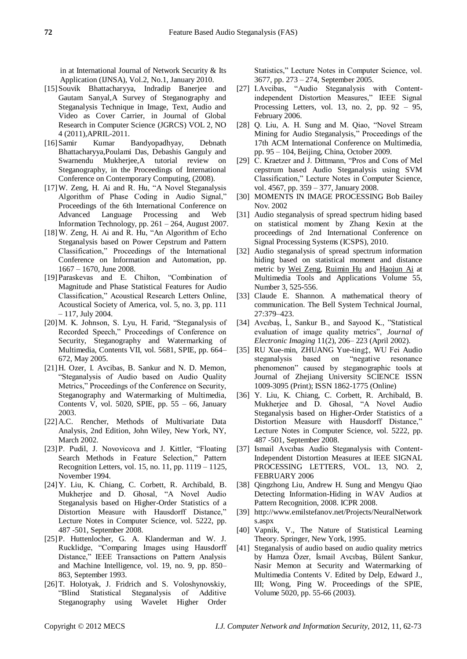in at International Journal of Network Security & Its Application (IJNSA), Vol.2, No.1, January 2010.

- [15]Souvik Bhattacharyya, Indradip Banerjee and Gautam Sanyal,A Survey of Steganography and Steganalysis Technique in Image, Text, Audio and Video as Cover Carrier, in Journal of Global Research in Computer Science (JGRCS) VOL 2, NO 4 (2011),APRIL-2011.
- [16]Samir Kumar Bandyopadhyay, Debnath Bhattacharyya,Poulami Das, Debashis Ganguly and Swarnendu Mukherjee,A tutorial review on Steganography, in the Proceedings of International Conference on Contemporary Computing, (2008).
- $[17]$ W. Zeng, H. Ai and R. Hu, "A Novel Steganalysis Algorithm of Phase Coding in Audio Signal," Proceedings of the 6th International Conference on Advanced Language Processing and Web Information Technology, pp. 261 – 264, August 2007.
- [18] W. Zeng, H. Ai and R. Hu, "An Algorithm of Echo Steganalysis based on Power Cepstrum and Pattern Classification,‖ Proceedings of the International Conference on Information and Automation, pp. 1667 – 1670, June 2008.
- [19] Paraskevas and E. Chilton, "Combination of Magnitude and Phase Statistical Features for Audio Classification,‖ Acoustical Research Letters Online, Acoustical Society of America, vol. 5, no. 3, pp. 111 – 117, July 2004.
- [20] M. K. Johnson, S. Lyu, H. Farid, "Steganalysis of Recorded Speech," Proceedings of Conference on Security, Steganography and Watermarking of Multimedia, Contents VII, vol. 5681, SPIE, pp. 664– 672, May 2005.
- [21]H. Ozer, I. Avcibas, B. Sankur and N. D. Memon, ―Steganalysis of Audio based on Audio Quality Metrics," Proceedings of the Conference on Security, Steganography and Watermarking of Multimedia, Contents V, vol. 5020, SPIE, pp.  $55 - 66$ , January 2003.
- [22]A.C. Rencher, Methods of Multivariate Data Analysis, 2nd Edition, John Wiley, New York, NY, March 2002.
- [23] P. Pudil, J. Novovicova and J. Kittler, "Floating Search Methods in Feature Selection," Pattern Recognition Letters, vol. 15, no. 11, pp. 1119 – 1125, November 1994.
- [24]Y. Liu, K. Chiang, C. Corbett, R. Archibald, B. Mukherjee and D. Ghosal, "A Novel Audio Steganalysis based on Higher-Order Statistics of a Distortion Measure with Hausdorff Distance," Lecture Notes in Computer Science, vol. 5222, pp. 487 -501, September 2008.
- [25]P. Huttenlocher, G. A. Klanderman and W. J. Rucklidge, "Comparing Images using Hausdorff Distance," IEEE Transactions on Pattern Analysis and Machine Intelligence, vol. 19, no. 9, pp. 850– 863, September 1993.
- [26]T. Holotyak, J. Fridrich and S. Voloshynovskiy, ―Blind Statistical Steganalysis of Additive Steganography using Wavelet Higher Order

Statistics," Lecture Notes in Computer Science, vol. 3677, pp. 273 – 274, September 2005.

- [27] I.Avcibas, "Audio Steganalysis with Contentindependent Distortion Measures," IEEE Signal Processing Letters, vol. 13, no. 2, pp. 92 – 95, February 2006.
- [28] O. Liu, A. H. Sung and M. Oiao, "Novel Stream Mining for Audio Steganalysis," Proceedings of the 17th ACM International Conference on Multimedia, pp. 95 – 104, Beijing, China, October 2009.
- [29] C. Kraetzer and J. Dittmann, "Pros and Cons of Mel cepstrum based Audio Steganalysis using SVM Classification," Lecture Notes in Computer Science, vol. 4567, pp. 359 – 377, January 2008.
- [30] MOMENTS IN IMAGE PROCESSING Bob Bailey Nov. 2002
- [31] Audio steganalysis of spread spectrum hiding based on statistical moment by Zhang Kexin at the proceedings of 2nd International Conference on Signal Processing Systems (ICSPS), 2010.
- [32] Audio steganalysis of spread spectrum information hiding based on statistical moment and distance metric by [Wei Zeng,](http://www.springerlink.com/content/?Author=Wei+Zeng) [Ruimin Hu](http://www.springerlink.com/content/?Author=Ruimin+Hu) and [Haojun Ai](http://www.springerlink.com/content/?Author=Haojun+Ai) at Multimedia Tools and Applications Volume 55, Number 3, 525-556.
- [33] Claude E. Shannon. A mathematical theory of communication. The Bell System Technical Journal, 27:379–423.
- [34] Avcıbaş, İ., Sankur B., and Sayood K., "Statistical evaluation of image quality metrics", *Journal of Electronic Imaging* 11(2), 206– 223 (April 2002).
- [35] RU Xue-min, ZHUANG Yue-ting‡, WU Fei Audio steganalysis based on "negative resonance phenomenon" caused by steganographic tools at Journal of Zhejiang University SCIENCE ISSN 1009-3095 (Print); ISSN 1862-1775 (Online)
- [36] Y. Liu, K. Chiang, C. Corbett, R. Archibald, B. Mukherjee and D. Ghosal, "A Novel Audio Steganalysis based on Higher-Order Statistics of a Distortion Measure with Hausdorff Distance," Lecture Notes in Computer Science, vol. 5222, pp. 487 -501, September 2008.
- [37] Ismail Avcıbas Audio Steganalysis with Content-Independent Distortion Measures at IEEE SIGNAL PROCESSING LETTERS, VOL. 13, NO. 2, FEBRUARY 2006
- [38] Qingzhong Liu, Andrew H. Sung and Mengyu Qiao Detecting Information-Hiding in WAV Audios at Pattern Recognition, 2008. ICPR 2008.
- [39] http://www.emilstefanov.net/Projects/NeuralNetwork s.aspx
- [40] Vapnik, V., The Nature of Statistical Learning Theory. Springer, New York, 1995.
- [41] Steganalysis of audio based on audio quality metrics by Hamza Özer, İsmail Avcıbaş, Bülent Sankur, Nasir Memon at Security and Watermarking of Multimedia Contents V. Edited by Delp, Edward J., III; Wong, Ping W. Proceedings of the SPIE, Volume 5020, pp. 55-66 (2003).